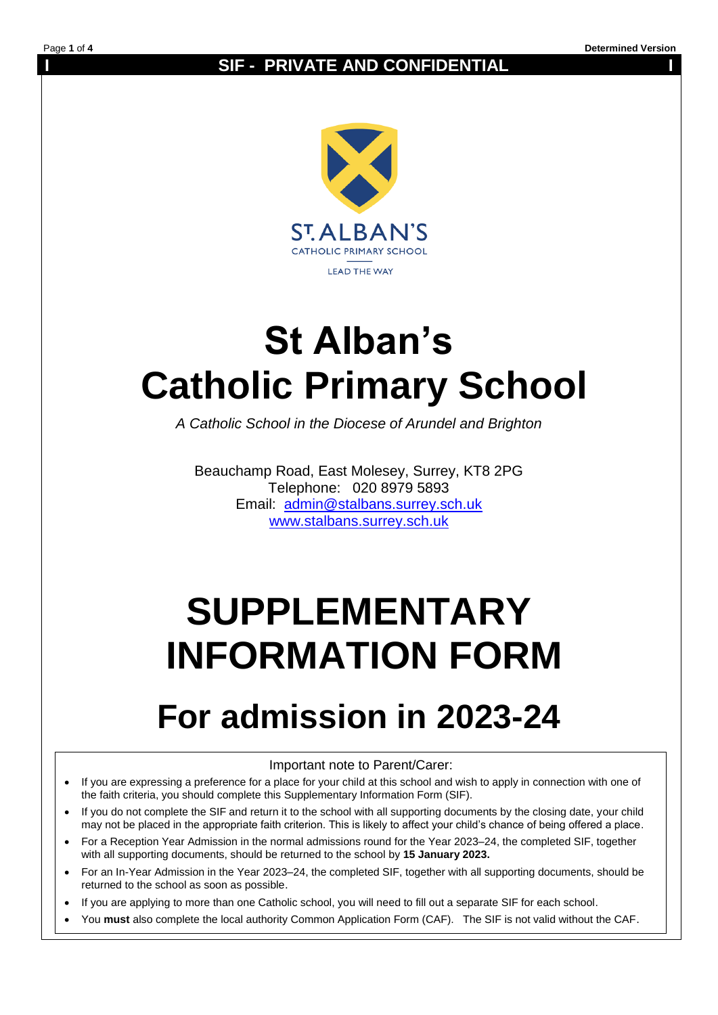### **SIF - PRIVATE AND CONFIDENTIAL**



# **St Alban's Catholic Primary School**

*A Catholic School in the Diocese of Arundel and Brighton*

Beauchamp Road, East Molesey, Surrey, KT8 2PG Telephone: 020 8979 5893 Email: [admin@stalbans.surrey.sch.uk](mailto:admin@stalbans.surrey.sch.uk) [www.stalbans.surrey.sch.uk](http://www.stalbans.surrey.sch.uk/)

# **SUPPLEMENTARY INFORMATION FORM**

## **For admission in 2023-24**

#### Important note to Parent/Carer:

- If you are expressing a preference for a place for your child at this school and wish to apply in connection with one of the faith criteria, you should complete this Supplementary Information Form (SIF).
- If you do not complete the SIF and return it to the school with all supporting documents by the closing date, your child may not be placed in the appropriate faith criterion. This is likely to affect your child's chance of being offered a place.
- For a Reception Year Admission in the normal admissions round for the Year 2023–24, the completed SIF, together with all supporting documents, should be returned to the school by **15 January 2023.**
- For an In-Year Admission in the Year 2023–24, the completed SIF, together with all supporting documents, should be returned to the school as soon as possible.
- If you are applying to more than one Catholic school, you will need to fill out a separate SIF for each school.
- You **must** also complete the local authority Common Application Form (CAF). The SIF is not valid without the CAF.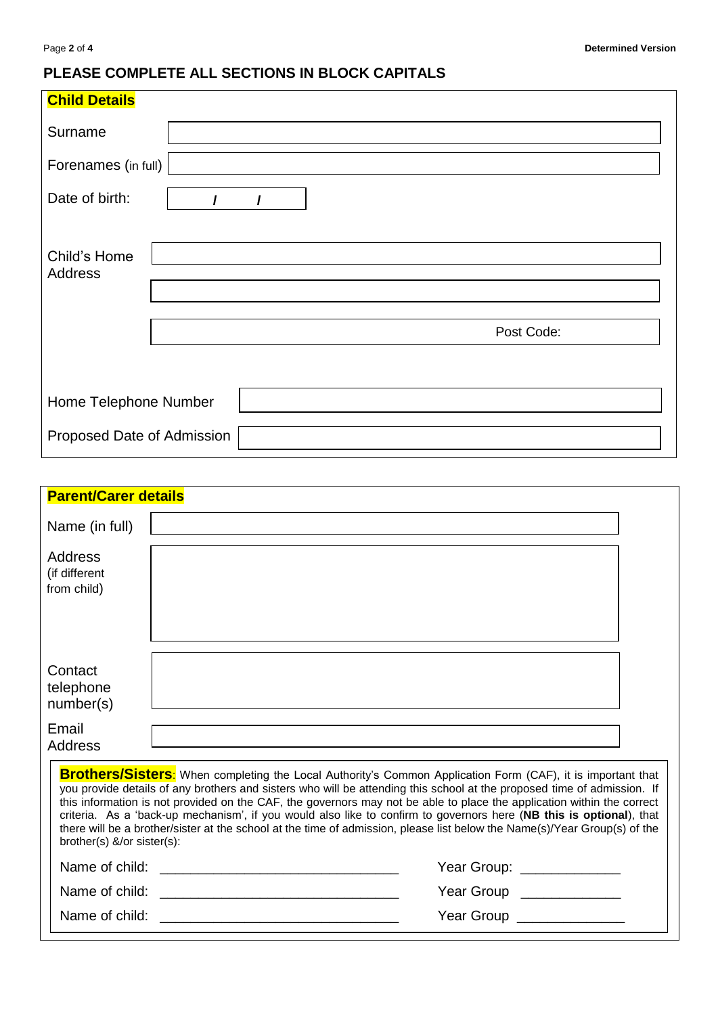### **PLEASE COMPLETE ALL SECTIONS IN BLOCK CAPITALS**

| <b>Child Details</b>                   |  |
|----------------------------------------|--|
| Surname                                |  |
| Forenames (in full)                    |  |
| Date of birth:<br>$\prime$<br>$\prime$ |  |
|                                        |  |
| Child's Home<br>Address                |  |
|                                        |  |
| Post Code:                             |  |
|                                        |  |
| Home Telephone Number                  |  |
| Proposed Date of Admission             |  |

| <b>Parent/Carer details</b>                                                                                                                                                                                                                                                                                                                                                                                                                                                                                                                                                                                                                        |  |                          |  |  |
|----------------------------------------------------------------------------------------------------------------------------------------------------------------------------------------------------------------------------------------------------------------------------------------------------------------------------------------------------------------------------------------------------------------------------------------------------------------------------------------------------------------------------------------------------------------------------------------------------------------------------------------------------|--|--------------------------|--|--|
| Name (in full)                                                                                                                                                                                                                                                                                                                                                                                                                                                                                                                                                                                                                                     |  |                          |  |  |
| Address<br>(if different<br>from child)                                                                                                                                                                                                                                                                                                                                                                                                                                                                                                                                                                                                            |  |                          |  |  |
| Contact<br>telephone<br>number(s)                                                                                                                                                                                                                                                                                                                                                                                                                                                                                                                                                                                                                  |  |                          |  |  |
| Email<br><b>Address</b>                                                                                                                                                                                                                                                                                                                                                                                                                                                                                                                                                                                                                            |  |                          |  |  |
| Brothers/Sisters: When completing the Local Authority's Common Application Form (CAF), it is important that<br>you provide details of any brothers and sisters who will be attending this school at the proposed time of admission. If<br>this information is not provided on the CAF, the governors may not be able to place the application within the correct<br>criteria. As a 'back-up mechanism', if you would also like to confirm to governors here (NB this is optional), that<br>there will be a brother/sister at the school at the time of admission, please list below the Name(s)/Year Group(s) of the<br>brother(s) &/or sister(s): |  |                          |  |  |
| Year Group: _____________                                                                                                                                                                                                                                                                                                                                                                                                                                                                                                                                                                                                                          |  |                          |  |  |
|                                                                                                                                                                                                                                                                                                                                                                                                                                                                                                                                                                                                                                                    |  | Year Group _____________ |  |  |
| Year Group _______________                                                                                                                                                                                                                                                                                                                                                                                                                                                                                                                                                                                                                         |  |                          |  |  |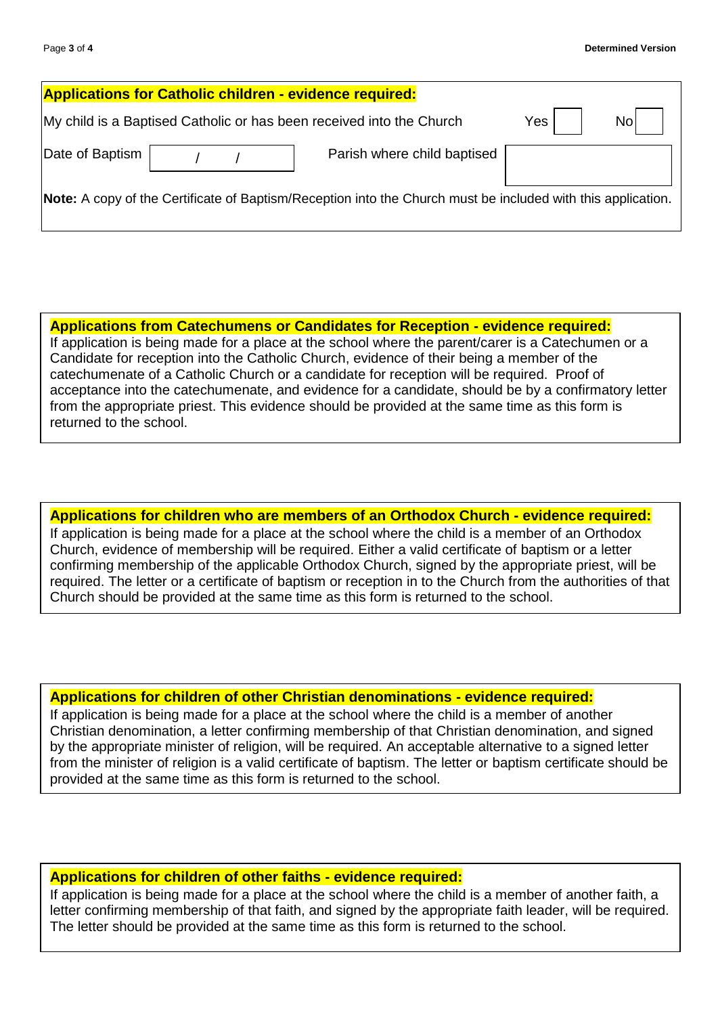|                                                                                                              | <b>Applications for Catholic children - evidence required:</b> |                                                                      |     |     |
|--------------------------------------------------------------------------------------------------------------|----------------------------------------------------------------|----------------------------------------------------------------------|-----|-----|
|                                                                                                              |                                                                | My child is a Baptised Catholic or has been received into the Church | Yes | Nol |
| Date of Baptism                                                                                              |                                                                | Parish where child baptised                                          |     |     |
| Note: A copy of the Certificate of Baptism/Reception into the Church must be included with this application. |                                                                |                                                                      |     |     |

**Applications from Catechumens or Candidates for Reception - evidence required:** If application is being made for a place at the school where the parent/carer is a Catechumen or a Candidate for reception into the Catholic Church, evidence of their being a member of the catechumenate of a Catholic Church or a candidate for reception will be required. Proof of acceptance into the catechumenate, and evidence for a candidate, should be by a confirmatory letter from the appropriate priest. This evidence should be provided at the same time as this form is returned to the school.

**Applications for children who are members of an Orthodox Church - evidence required:** If application is being made for a place at the school where the child is a member of an Orthodox Church, evidence of membership will be required. Either a valid certificate of baptism or a letter confirming membership of the applicable Orthodox Church, signed by the appropriate priest, will be required. The letter or a certificate of baptism or reception in to the Church from the authorities of that Church should be provided at the same time as this form is returned to the school.

#### **Applications for children of other Christian denominations - evidence required:**

If application is being made for a place at the school where the child is a member of another Christian denomination, a letter confirming membership of that Christian denomination, and signed by the appropriate minister of religion, will be required. An acceptable alternative to a signed letter from the minister of religion is a valid certificate of baptism. The letter or baptism certificate should be provided at the same time as this form is returned to the school.

#### **Applications for children of other faiths - evidence required:**

If application is being made for a place at the school where the child is a member of another faith, a letter confirming membership of that faith, and signed by the appropriate faith leader, will be required. The letter should be provided at the same time as this form is returned to the school.